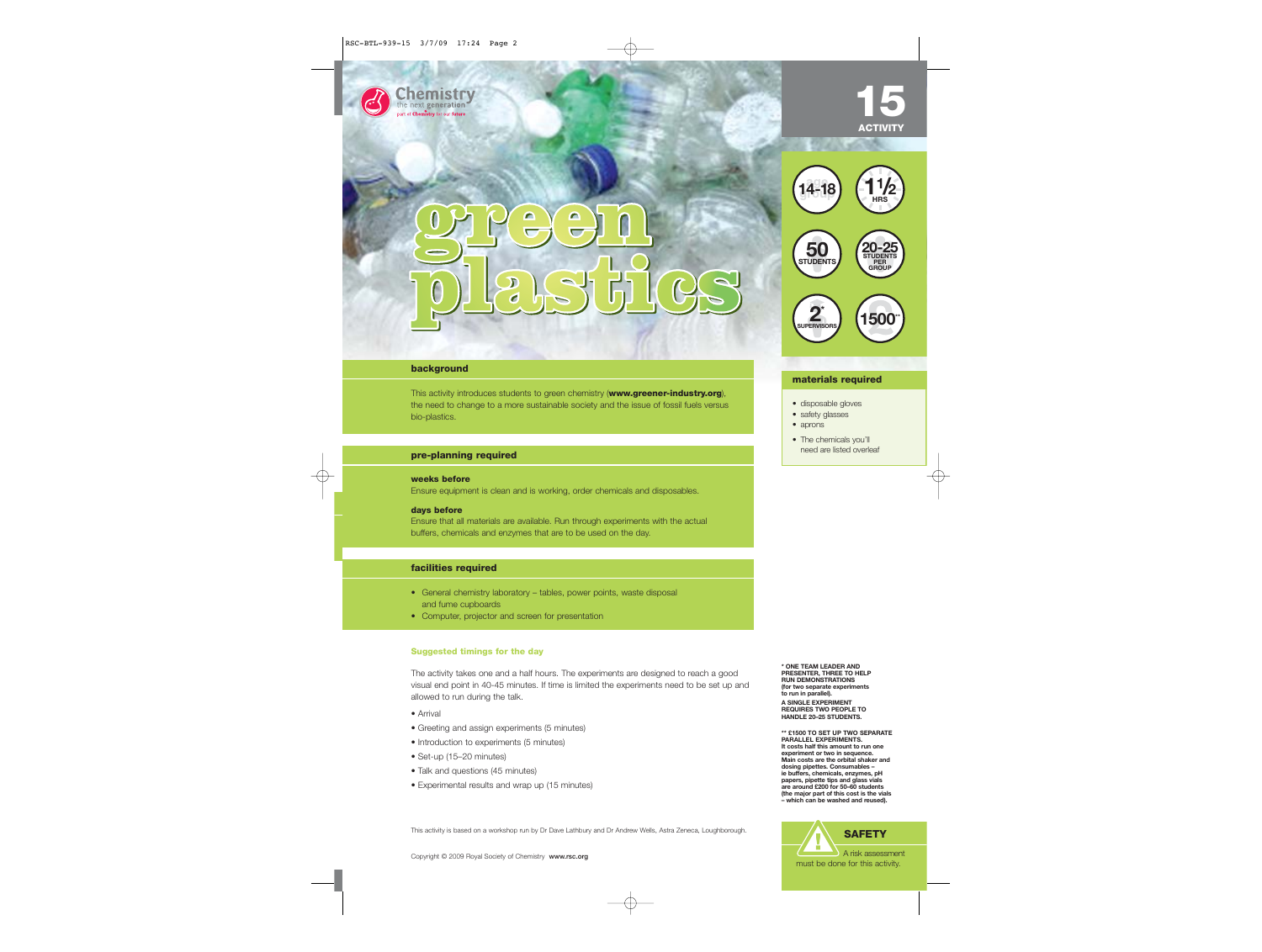#### **background**

next generation stry for our future

This activity introduces students to green chemistry (**www.greener-industry.org**), the need to change to a more sustainable society and the issue of fossil fuels versus bio-plastics.

#### pre-planning required

#### **weeks before**

Ensure equipment is clean and is working, order chemicals and disposables.

#### **days before**

Ensure that all materials are available. Run through experiments with the actual buffers, chemicals and enzymes that are to be used on the day.

### **facilities required**

- General chemistry laboratory tables, power points, waste disposal and fume cupboards
- Computer, projector and screen for presentation

#### **Suggested timings for the day**

The activity takes one and a half hours. The experiments are designed to reach a good visual end point in 40-45 minutes. If time is limited the experiments need to be set up and allowed to run during the talk.

- Arrival
- Greeting and assign experiments (5 minutes)
- Introduction to experiments (5 minutes)
- Set-up (15–20 minutes)
- Talk and questions (45 minutes)
- Experimental results and wrap up (15 minutes)

This activity is based on a workshop run by Dr Dave Lathbury and Dr Andrew Wells, Astra Zeneca, Loughborough.

## **15 ACTIVITY**



20 X X x

#### **materials required**

- disposable gloves
- safety glasses
- aprons
- The chemicals you'll<br>need are listed overleaf

**\* ONE TEAM LEADER AND PRESENTER, THREE TO HELP RUN DEMONSTRATIONS (for two separate experiments to run in parallel). A SINGLE EXPERIMENT REQUIRES TWO PEOPLE TO HANDLE 20–25 STUDENTS.**

**\*\* £1500 TO SET UP TWO SEPARATE PARALLEL EXPERIMENTS. It costs half this amount to run one experiment or two in sequence. Main costs are the orbital shaker and dosing pipettes. Consumables – ie buffers, chemicals, enzymes, pH papers, pipette tips and glass vials are around £200 for 50–60 students (the major part of this cost is the vials – which can be washed and reused).**

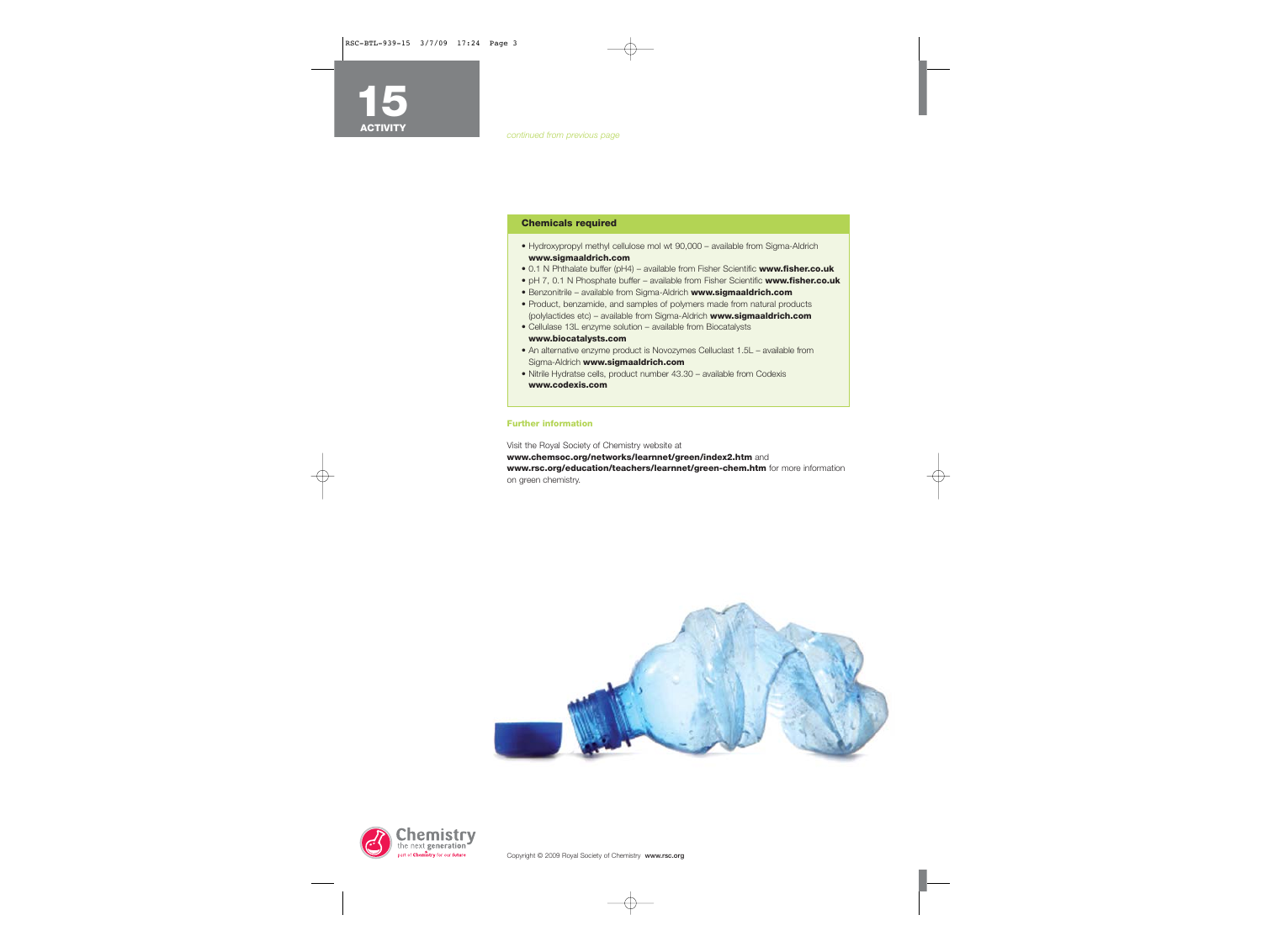#### **Chemicals required**

- Hydroxypropyl methyl cellulose mol wt 90,000 available from Sigma-Aldrich **www.sigmaaldrich.com**
- 0.1 N Phthalate buffer (pH4) available from Fisher Scientific **www.fisher.co.uk**
- pH 7, 0.1 N Phosphate buffer available from Fisher Scientific **www.fisher.co.uk**
- Benzonitrile available from Sigma-Aldrich **www.sigmaaldrich.com**
- Product, benzamide, and samples of polymers made from natural products (polylactides etc) – available from Sigma-Aldrich **www.sigmaaldrich.com**
- Cellulase 13L enzyme solution available from Biocatalysts
- **www.biocatalysts.com**
- An alternative enzyme product is Novozymes Celluclast 1.5L available from Sigma-Aldrich **www.sigmaaldrich.com**
- Nitrile Hydratse cells, product number 43.30 available from Codexis **www.codexis.com**

#### **Further information**

Visit the Royal Society of Chemistry website at **www.chemsoc.org/networks/learnnet/green/index2.htm** and **www.rsc.org/education/teachers/learnnet/green-chem.htm** for more information on green chemistry.



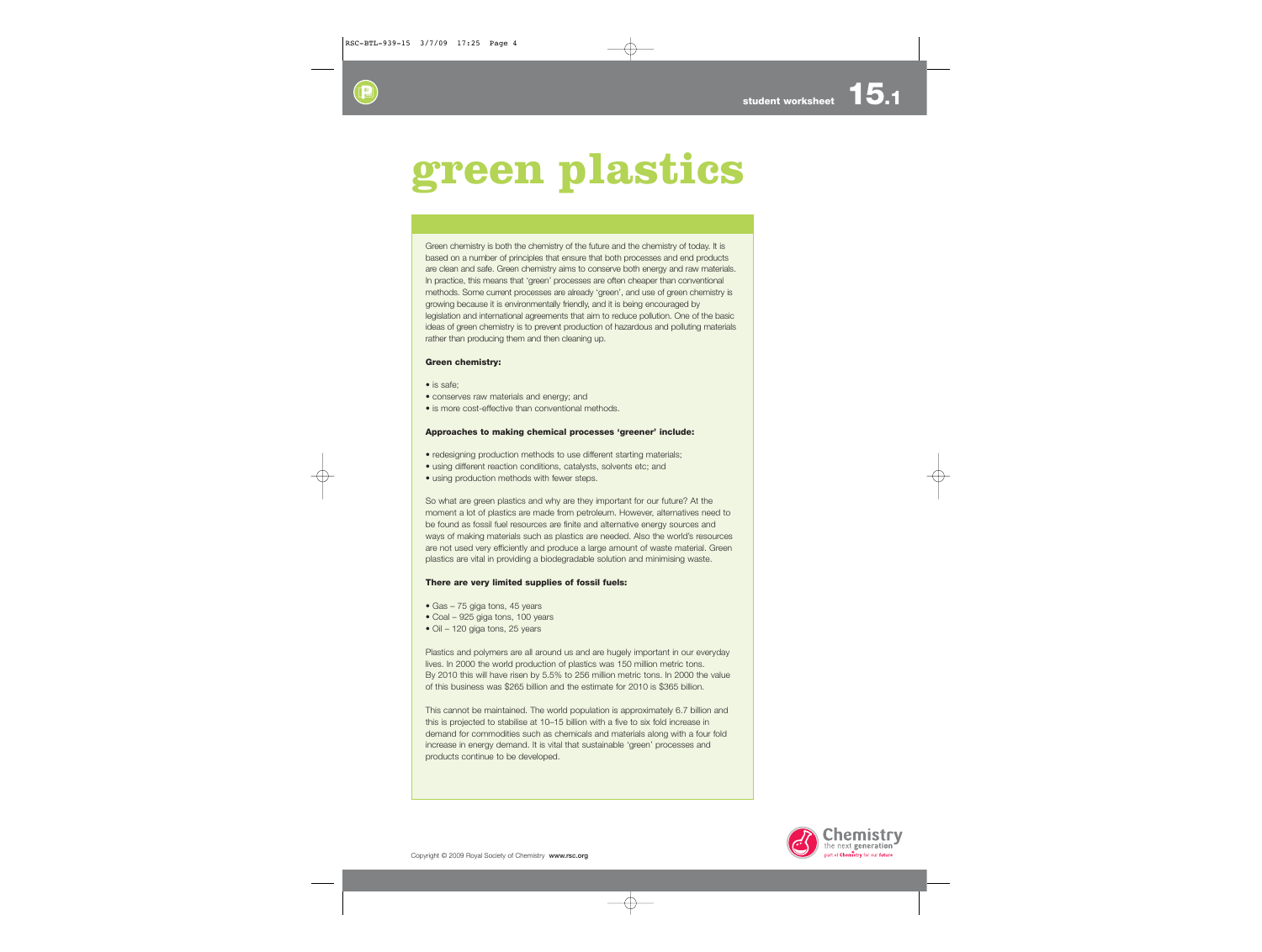# **green plastics**

Green chemistry is both the chemistry of the future and the chemistry of today. It is based on a number of principles that ensure that both processes and end products are clean and safe. Green chemistry aims to conserve both energy and raw materials. In practice, this means that 'green' processes are often cheaper than conventional methods. Some current processes are already 'green', and use of green chemistry is growing because it is environmentally friendly, and it is being encouraged by legislation and international agreements that aim to reduce pollution. One of the basic ideas of green chemistry is to prevent production of hazardous and polluting materials rather than producing them and then cleaning up.

#### **Green chemistry:**

- is safe;
- conserves raw materials and energy; and
- is more cost-effective than conventional methods.

#### **Approaches to making chemical processes 'greener' include:**

- redesigning production methods to use different starting materials;
- using different reaction conditions, catalysts, solvents etc; and
- using production methods with fewer steps.

So what are green plastics and why are they important for our future? At the moment a lot of plastics are made from petroleum. However, alternatives need to be found as fossil fuel resources are finite and alternative energy sources and ways of making materials such as plastics are needed. Also the world's resources are not used very efficiently and produce a large amount of waste material. Green plastics are vital in providing a biodegradable solution and minimising waste.

#### **There are very limited supplies of fossil fuels:**

- Gas 75 giga tons, 45 years
- Coal 925 giga tons, 100 years
- Oil 120 giga tons, 25 years

Plastics and polymers are all around us and are hugely important in our everyday lives. In 2000 the world production of plastics was 150 million metric tons. By 2010 this will have risen by 5.5% to 256 million metric tons. In 2000 the value of this business was \$265 billion and the estimate for 2010 is \$365 billion.

This cannot be maintained. The world population is approximately 6.7 billion and this is projected to stabilise at 10–15 billion with a five to six fold increase in demand for commodities such as chemicals and materials along with a four fold increase in energy demand. It is vital that sustainable 'green' processes and products continue to be developed.